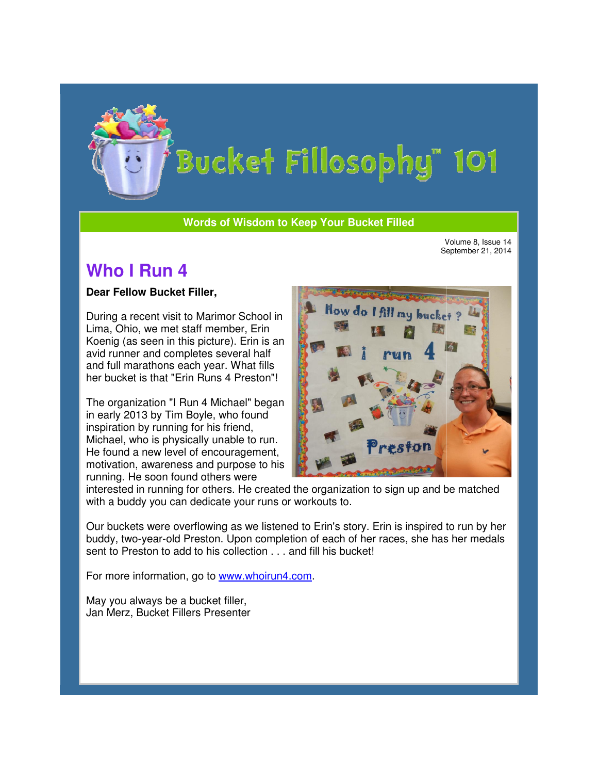

#### **Words of Wisdom to Keep Your Bucket Filled Wisdom**

Volume 8, Issue 14 September 21, 2014

# **Who I Run 4**

#### **Dear Fellow Bucket Filler,**

During a recent visit to Marimor School in Lima, Ohio, we met staff member, Erin Koenig (as seen in this picture). Erin is an avid runner and completes several half and full marathons each year. What fills her bucket is that "Erin Runs 4 Preston"! 4 Preston"! visit to Marimor School<br>met staff member, Erin<br>in this picture). Erin is a<br>completes several half

The organization "I Run 4 Michael" began<br>in early 2013 by Tim Boyle, who found<br>inspiration by running for his friend,<br>Michael, who is physically unable to run.<br>He found a new level of encouragement,<br>motivation, awareness a in early 2013 by Tim Boyle, who found inspiration by running for his friend, Michael, who is physically unable to run. He found a new level of encouragement, motivation, awareness and purpose to his running. He soon found others were



interested in running for others. He created the organization to sign up and be matched with a buddy you can dedicate your runs or workouts to. were<br>He created the organiza<br>your runs or workouts to.

Our buckets were overflowing as we listened to Erin's story. Erin is inspired to run by her Erin's story. Erin by her buddy, two-year-old Preston. Upon completion of each of her races, she has her medals buddy, two-year-old Preston. Upon completion of each of her<br>sent to Preston to add to his collection . . . and fill his bucket!

For more information, go to www.whoirun4.com.

May you always be a bucket filler, May you always be a bucket filler,<br>Jan Merz, Bucket Fillers Presenter